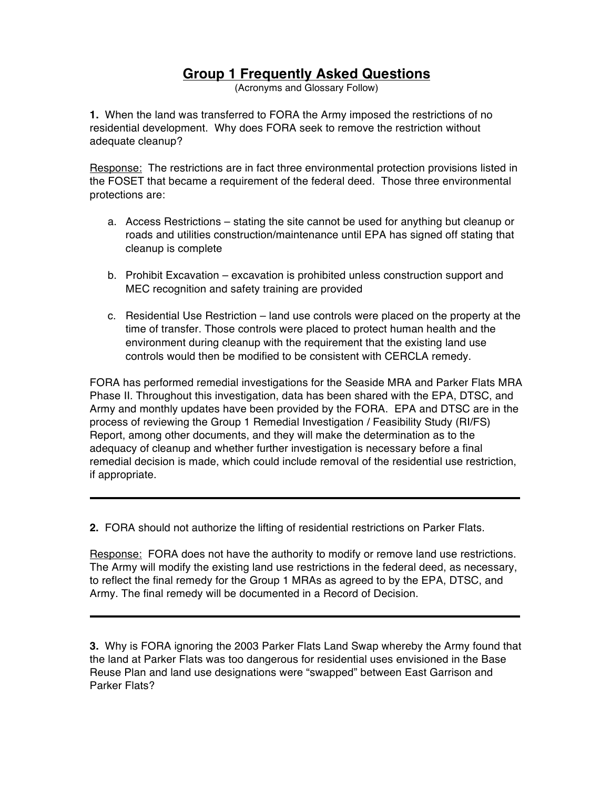## **Group 1 Frequently Asked Questions**

(Acronyms and Glossary Follow)

**1.** When the land was transferred to FORA the Army imposed the restrictions of no residential development. Why does FORA seek to remove the restriction without adequate cleanup?

Response: The restrictions are in fact three environmental protection provisions listed in the FOSET that became a requirement of the federal deed. Those three environmental protections are:

- a. Access Restrictions stating the site cannot be used for anything but cleanup or roads and utilities construction/maintenance until EPA has signed off stating that cleanup is complete
- b. Prohibit Excavation excavation is prohibited unless construction support and MEC recognition and safety training are provided
- c. Residential Use Restriction land use controls were placed on the property at the time of transfer. Those controls were placed to protect human health and the environment during cleanup with the requirement that the existing land use controls would then be modified to be consistent with CERCLA remedy.

FORA has performed remedial investigations for the Seaside MRA and Parker Flats MRA Phase II. Throughout this investigation, data has been shared with the EPA, DTSC, and Army and monthly updates have been provided by the FORA. EPA and DTSC are in the process of reviewing the Group 1 Remedial Investigation / Feasibility Study (RI/FS) Report, among other documents, and they will make the determination as to the adequacy of cleanup and whether further investigation is necessary before a final remedial decision is made, which could include removal of the residential use restriction, if appropriate.

**2.** FORA should not authorize the lifting of residential restrictions on Parker Flats.

Response: FORA does not have the authority to modify or remove land use restrictions. The Army will modify the existing land use restrictions in the federal deed, as necessary, to reflect the final remedy for the Group 1 MRAs as agreed to by the EPA, DTSC, and Army. The final remedy will be documented in a Record of Decision.

**3.** Why is FORA ignoring the 2003 Parker Flats Land Swap whereby the Army found that the land at Parker Flats was too dangerous for residential uses envisioned in the Base Reuse Plan and land use designations were "swapped" between East Garrison and Parker Flats?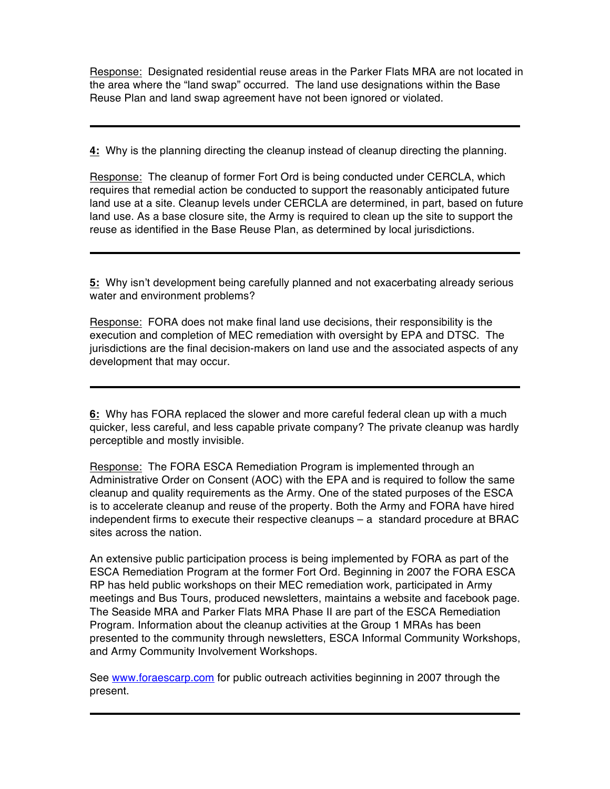Response: Designated residential reuse areas in the Parker Flats MRA are not located in the area where the "land swap" occurred. The land use designations within the Base Reuse Plan and land swap agreement have not been ignored or violated.

**4:** Why is the planning directing the cleanup instead of cleanup directing the planning.

Response: The cleanup of former Fort Ord is being conducted under CERCLA, which requires that remedial action be conducted to support the reasonably anticipated future land use at a site. Cleanup levels under CERCLA are determined, in part, based on future land use. As a base closure site, the Army is required to clean up the site to support the reuse as identified in the Base Reuse Plan, as determined by local jurisdictions.

**5:** Why isn't development being carefully planned and not exacerbating already serious water and environment problems?

Response: FORA does not make final land use decisions, their responsibility is the execution and completion of MEC remediation with oversight by EPA and DTSC. The jurisdictions are the final decision-makers on land use and the associated aspects of any development that may occur.

**6:** Why has FORA replaced the slower and more careful federal clean up with a much quicker, less careful, and less capable private company? The private cleanup was hardly perceptible and mostly invisible.

Response: The FORA ESCA Remediation Program is implemented through an Administrative Order on Consent (AOC) with the EPA and is required to follow the same cleanup and quality requirements as the Army. One of the stated purposes of the ESCA is to accelerate cleanup and reuse of the property. Both the Army and FORA have hired independent firms to execute their respective cleanups – a standard procedure at BRAC sites across the nation.

An extensive public participation process is being implemented by FORA as part of the ESCA Remediation Program at the former Fort Ord. Beginning in 2007 the FORA ESCA RP has held public workshops on their MEC remediation work, participated in Army meetings and Bus Tours, produced newsletters, maintains a website and facebook page. The Seaside MRA and Parker Flats MRA Phase II are part of the ESCA Remediation Program. Information about the cleanup activities at the Group 1 MRAs has been presented to the community through newsletters, ESCA Informal Community Workshops, and Army Community Involvement Workshops.

See www.foraescarp.com for public outreach activities beginning in 2007 through the present.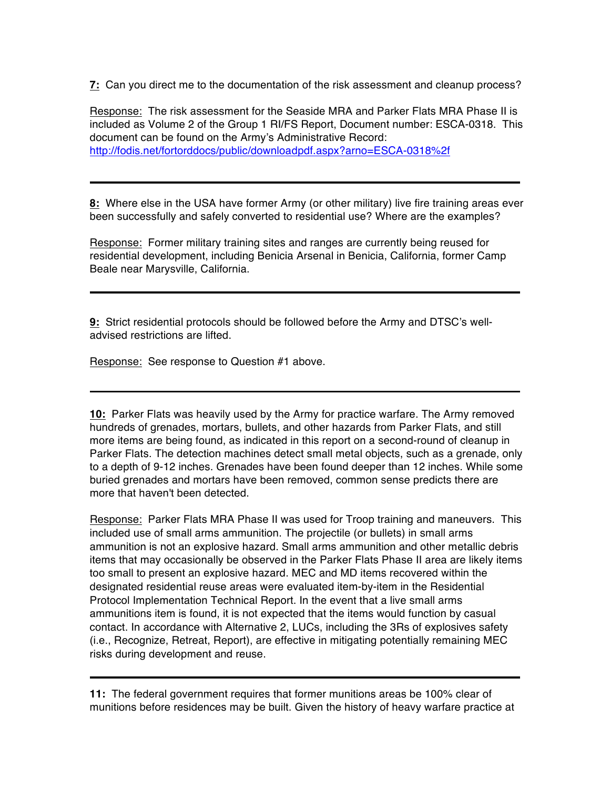**7:** Can you direct me to the documentation of the risk assessment and cleanup process?

Response: The risk assessment for the Seaside MRA and Parker Flats MRA Phase II is included as Volume 2 of the Group 1 RI/FS Report, Document number: ESCA-0318. This document can be found on the Army's Administrative Record: http://fodis.net/fortorddocs/public/downloadpdf.aspx?arno=ESCA-0318%2f

**8:** Where else in the USA have former Army (or other military) live fire training areas ever been successfully and safely converted to residential use? Where are the examples?

Response: Former military training sites and ranges are currently being reused for residential development, including Benicia Arsenal in Benicia, California, former Camp Beale near Marysville, California.

**9:** Strict residential protocols should be followed before the Army and DTSC's welladvised restrictions are lifted.

Response: See response to Question #1 above.

**10:** Parker Flats was heavily used by the Army for practice warfare. The Army removed hundreds of grenades, mortars, bullets, and other hazards from Parker Flats, and still more items are being found, as indicated in this report on a second-round of cleanup in Parker Flats. The detection machines detect small metal objects, such as a grenade, only to a depth of 9-12 inches. Grenades have been found deeper than 12 inches. While some buried grenades and mortars have been removed, common sense predicts there are more that haven't been detected.

Response: Parker Flats MRA Phase II was used for Troop training and maneuvers. This included use of small arms ammunition. The projectile (or bullets) in small arms ammunition is not an explosive hazard. Small arms ammunition and other metallic debris items that may occasionally be observed in the Parker Flats Phase II area are likely items too small to present an explosive hazard. MEC and MD items recovered within the designated residential reuse areas were evaluated item-by-item in the Residential Protocol Implementation Technical Report. In the event that a live small arms ammunitions item is found, it is not expected that the items would function by casual contact. In accordance with Alternative 2, LUCs, including the 3Rs of explosives safety (i.e., Recognize, Retreat, Report), are effective in mitigating potentially remaining MEC risks during development and reuse.

**11:** The federal government requires that former munitions areas be 100% clear of munitions before residences may be built. Given the history of heavy warfare practice at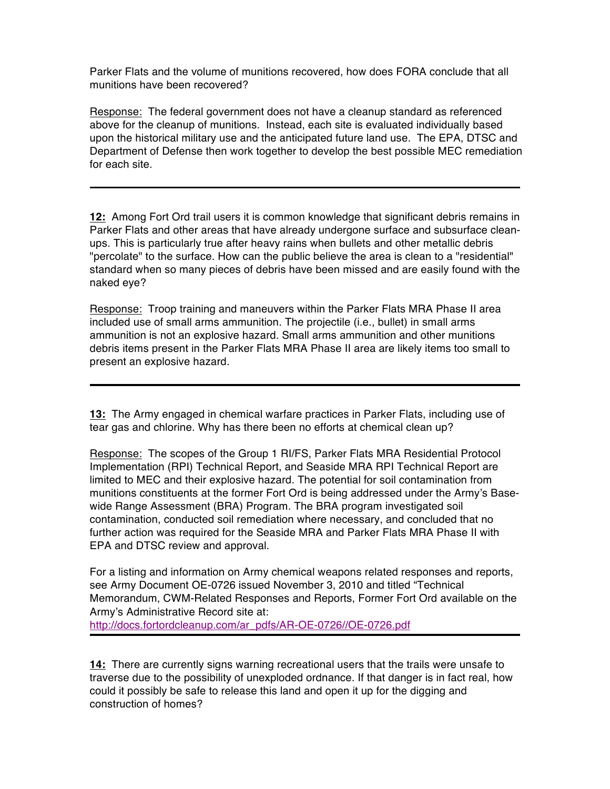Parker Flats and the volume of munitions recovered, how does FORA conclude that all munitions have been recovered?

Response: The federal government does not have a cleanup standard as referenced above for the cleanup of munitions. Instead, each site is evaluated individually based upon the historical military use and the anticipated future land use. The EPA, DTSC and Department of Defense then work together to develop the best possible MEC remediation for each site.

**12:** Among Fort Ord trail users it is common knowledge that significant debris remains in Parker Flats and other areas that have already undergone surface and subsurface cleanups. This is particularly true after heavy rains when bullets and other metallic debris "percolate" to the surface. How can the public believe the area is clean to a "residential" standard when so many pieces of debris have been missed and are easily found with the naked eye?

Response: Troop training and maneuvers within the Parker Flats MRA Phase II area included use of small arms ammunition. The projectile (i.e., bullet) in small arms ammunition is not an explosive hazard. Small arms ammunition and other munitions debris items present in the Parker Flats MRA Phase II area are likely items too small to present an explosive hazard.

**13:** The Army engaged in chemical warfare practices in Parker Flats, including use of tear gas and chlorine. Why has there been no efforts at chemical clean up?

Response: The scopes of the Group 1 RI/FS, Parker Flats MRA Residential Protocol Implementation (RPI) Technical Report, and Seaside MRA RPI Technical Report are limited to MEC and their explosive hazard. The potential for soil contamination from munitions constituents at the former Fort Ord is being addressed under the Army's Basewide Range Assessment (BRA) Program. The BRA program investigated soil contamination, conducted soil remediation where necessary, and concluded that no further action was required for the Seaside MRA and Parker Flats MRA Phase II with EPA and DTSC review and approval.

For a listing and information on Army chemical weapons related responses and reports, see Army Document OE-0726 issued November 3, 2010 and titled "Technical Memorandum, CWM-Related Responses and Reports, Former Fort Ord available on the Army's Administrative Record site at: http://docs.fortordcleanup.com/ar\_pdfs/AR-OE-0726//OE-0726.pdf

**14:** There are currently signs warning recreational users that the trails were unsafe to traverse due to the possibility of unexploded ordnance. If that danger is in fact real, how could it possibly be safe to release this land and open it up for the digging and construction of homes?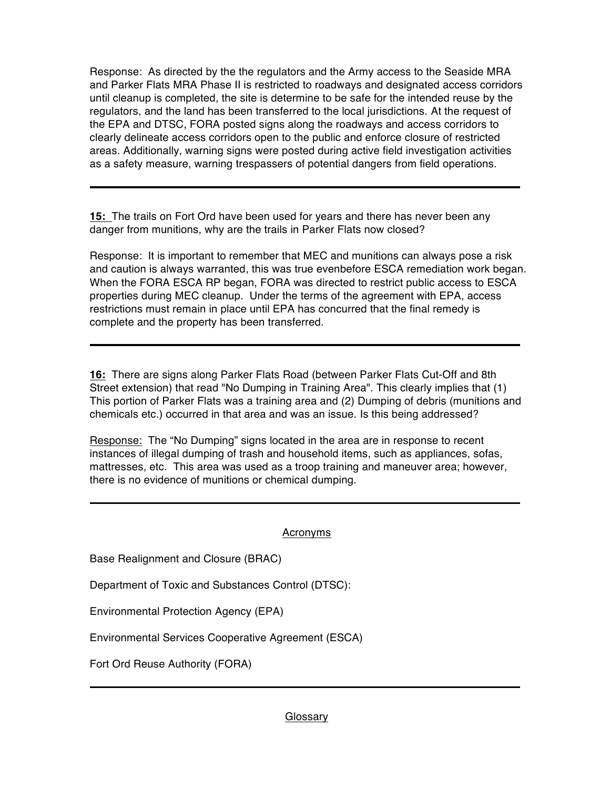Response: As directed by the the regulators and the Army access to the Seaside MRA and Parker Flats MRA Phase II is restricted to roadways and designated access corridors until cleanup is completed, the site is determine to be safe for the intended reuse by the regulators, and the land has been transferred to the local jurisdictions. At the request of the EPA and DTSC, FORA posted signs along the roadways and access corridors to clearly delineate access corridors open to the public and enforce closure of restricted areas. Additionally, warning signs were posted during active field investigation activities as a safety measure, warning trespassers of potential dangers from field operations.

**15:** The trails on Fort Ord have been used for years and there has never been any danger from munitions, why are the trails in Parker Flats now closed?

Response: It is important to remember that MEC and munitions can always pose a risk and caution is always warranted, this was true evenbefore ESCA remediation work began. When the FORA ESCA RP began, FORA was directed to restrict public access to ESCA properties during MEC cleanup. Under the terms of the agreement with EPA, access restrictions must remain in place until EPA has concurred that the final remedy is complete and the property has been transferred.

**16:** There are signs along Parker Flats Road (between Parker Flats Cut-Off and 8th Street extension) that read "No Dumping in Training Area". This clearly implies that (1) This portion of Parker Flats was a training area and (2) Dumping of debris (munitions and chemicals etc.) occurred in that area and was an issue. Is this being addressed?

Response: The "No Dumping" signs located in the area are in response to recent instances of illegal dumping of trash and household items, such as appliances, sofas, mattresses, etc. This area was used as a troop training and maneuver area; however, there is no evidence of munitions or chemical dumping.

## Acronyms

Base Realignment and Closure (BRAC)

Department of Toxic and Substances Control (DTSC):

Environmental Protection Agency (EPA)

Environmental Services Cooperative Agreement (ESCA)

Fort Ord Reuse Authority (FORA)

Glossary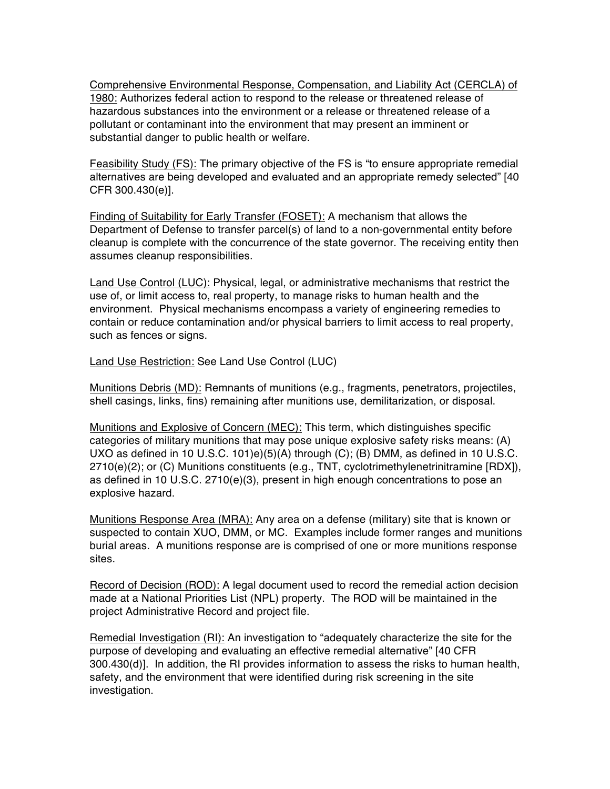Comprehensive Environmental Response, Compensation, and Liability Act (CERCLA) of 1980: Authorizes federal action to respond to the release or threatened release of hazardous substances into the environment or a release or threatened release of a pollutant or contaminant into the environment that may present an imminent or substantial danger to public health or welfare.

Feasibility Study (FS): The primary objective of the FS is "to ensure appropriate remedial alternatives are being developed and evaluated and an appropriate remedy selected" [40 CFR 300.430(e)].

Finding of Suitability for Early Transfer (FOSET): A mechanism that allows the Department of Defense to transfer parcel(s) of land to a non-governmental entity before cleanup is complete with the concurrence of the state governor. The receiving entity then assumes cleanup responsibilities.

Land Use Control (LUC): Physical, legal, or administrative mechanisms that restrict the use of, or limit access to, real property, to manage risks to human health and the environment. Physical mechanisms encompass a variety of engineering remedies to contain or reduce contamination and/or physical barriers to limit access to real property, such as fences or signs.

Land Use Restriction: See Land Use Control (LUC)

Munitions Debris (MD): Remnants of munitions (e.g., fragments, penetrators, projectiles, shell casings, links, fins) remaining after munitions use, demilitarization, or disposal.

Munitions and Explosive of Concern (MEC): This term, which distinguishes specific categories of military munitions that may pose unique explosive safety risks means: (A) UXO as defined in 10 U.S.C. 101)e)(5)(A) through (C); (B) DMM, as defined in 10 U.S.C. 2710(e)(2); or (C) Munitions constituents (e.g., TNT, cyclotrimethylenetrinitramine [RDX]), as defined in 10 U.S.C. 2710(e)(3), present in high enough concentrations to pose an explosive hazard.

Munitions Response Area (MRA): Any area on a defense (military) site that is known or suspected to contain XUO, DMM, or MC. Examples include former ranges and munitions burial areas. A munitions response are is comprised of one or more munitions response sites.

Record of Decision (ROD): A legal document used to record the remedial action decision made at a National Priorities List (NPL) property. The ROD will be maintained in the project Administrative Record and project file.

Remedial Investigation (RI): An investigation to "adequately characterize the site for the purpose of developing and evaluating an effective remedial alternative" [40 CFR 300.430(d)]. In addition, the RI provides information to assess the risks to human health, safety, and the environment that were identified during risk screening in the site investigation.